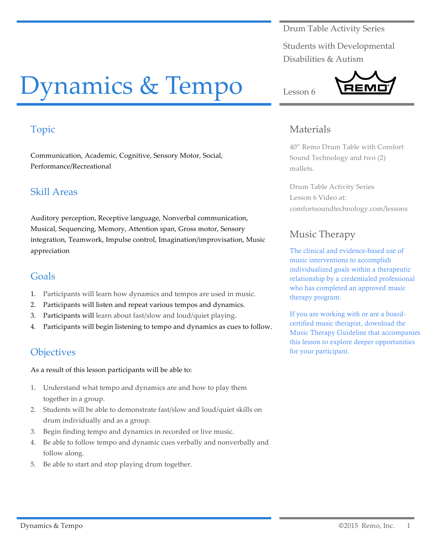Drum Table Activity Series

Students with Developmental Disabilities & Autism

# Dynamics & Tempo

# Topic

Communication, Academic, Cognitive, Sensory Motor, Social, Performance/Recreational

## Skill Areas

Auditory perception, Receptive language, Nonverbal communication, Musical, Sequencing, Memory, Attention span, Gross motor, Sensory integration, Teamwork, Impulse control, Imagination/improvisation, Music appreciation

#### Goals

- 1. Participants will learn how dynamics and tempos are used in music.
- 2. Participants will listen and repeat various tempos and dynamics.
- 3. Participants will learn about fast/slow and loud/quiet playing.
- 4. Participants will begin listening to tempo and dynamics as cues to follow.

## **Objectives**

As a result of this lesson participants will be able to:

- 1. Understand what tempo and dynamics are and how to play them together in a group.
- 2. Students will be able to demonstrate fast/slow and loud/quiet skills on drum individually and as a group.
- 3. Begin finding tempo and dynamics in recorded or live music.
- 4. Be able to follow tempo and dynamic cues verbally and nonverbally and follow along.
- 5. Be able to start and stop playing drum together.

### **Materials**

Lesson 6

40" Remo Drum Table with Comfort Sound Technology and two (2) mallets.

Drum Table Activity Series Lesson 6 Video at: comfortsoundtechnology.com/lessons

# Music Therapy

The clinical and evidence-based use of music interventions to accomplish individualized goals within a therapeutic relationship by a credentialed professional who has completed an approved music therapy program.

If you are working with or are a boardcertified music therapist, download the Music Therapy Guideline that accompanies this lesson to explore deeper opportunities for your participant.